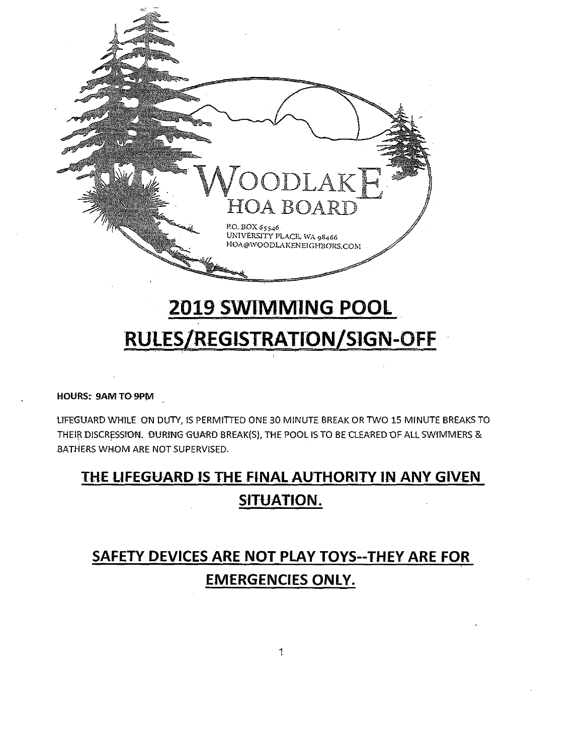

# 2019 SWIMMING POOL RULES/REGISTRATION/SIGN-OFF

HOURS: 9AM TO 9PM

LIFEGUARD WHILE ON DUTY, IS PERMITTED ONE 30 MINUTE BREAK OR TWO 15 MINUTE BREAKS TO THEIR DISCRESSION. DURING GUARD BREAK(S), THE POOL IS TO BE CLEARED OF ALL SWIMMERS & BATHERS WHOM ARE NOT SUPERVISED.

## THE LIFEGUARD IS THE FINAL AUTHORITY IN ANY GIVEN SITUATION.

## **SAFETY DEVICES ARE NOT PLAY TOYS--THEY ARE FOR EMERGENCIES ONLY.**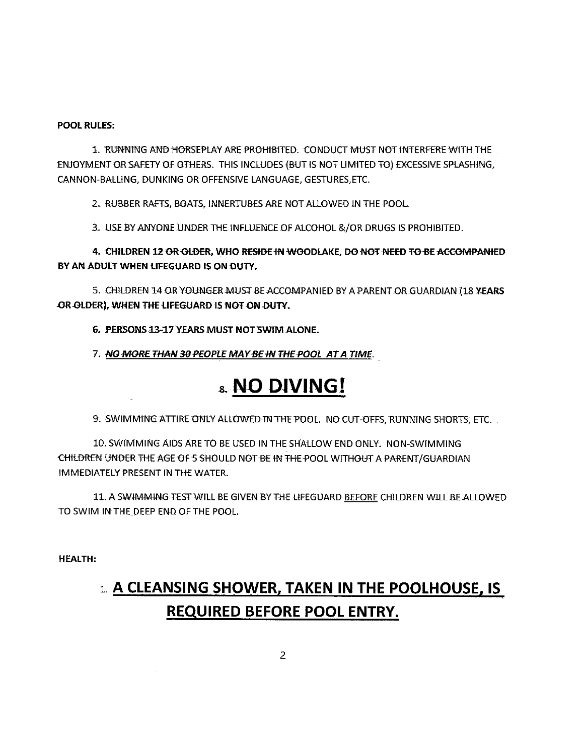#### **POOL RULES:**

1. RUNNING AND HORSEPLAY ARE PROHIBITED. CONDUCT MUST NOT INTERFERE WITH THE ENJOYMENT OR SAFETY OF OTHERS. THIS INCLUDES (BUT IS NOT LIMITED TO) EXCESSIVE SPLASHING, CANNON-BALLING, DUNKING OR OFFENSIVE LANGUAGE, GESTURES, ETC.

2. RUBBER RAFTS, BOATS, INNERTUBES ARE NOT ALLOWED IN THE POOL.

3. USE BY ANYONE UNDER THE INFLUENCE OF ALCOHOL & /OR DRUGS IS PROHIBITED.

4. CHILDREN 12 OR OLDER, WHO RESIDE IN WOODLAKE, DO NOT NEED TO BE ACCOMPANIED BY AN ADULT WHEN LIFEGUARD IS ON DUTY.

5. CHILDREN 14 OR YOUNGER MUST BE ACCOMPANIED BY A PARENT OR GUARDIAN (18 YEARS OR OLDER), WHEN THE LIFEGUARD IS NOT ON DUTY.

6. PERSONS 13-17 YEARS MUST NOT SWIM ALONE.

7. NO MORE THAN 30 PEOPLE MAY BE IN THE POOL AT A TIME.

### 8. NO DIVING!

9. SWIMMING ATTIRE ONLY ALLOWED IN THE POOL. NO CUT-OFFS, RUNNING SHORTS, ETC.

10. SWIMMING AIDS ARE TO BE USED IN THE SHALLOW END ONLY. NON-SWIMMING CHILDREN UNDER THE AGE OF 5 SHOULD NOT BE IN THE POOL WITHOUT A PARENT/GUARDIAN **IMMEDIATELY PRESENT IN THE WATER.** 

11. A SWIMMING TEST WILL BE GIVEN BY THE LIFEGUARD BEFORE CHILDREN WILL BE ALLOWED TO SWIM IN THE DEEP END OF THE POOL.

**HEALTH:** 

## 1. A CLEANSING SHOWER, TAKEN IN THE POOLHOUSE, IS **REQUIRED BEFORE POOL ENTRY.**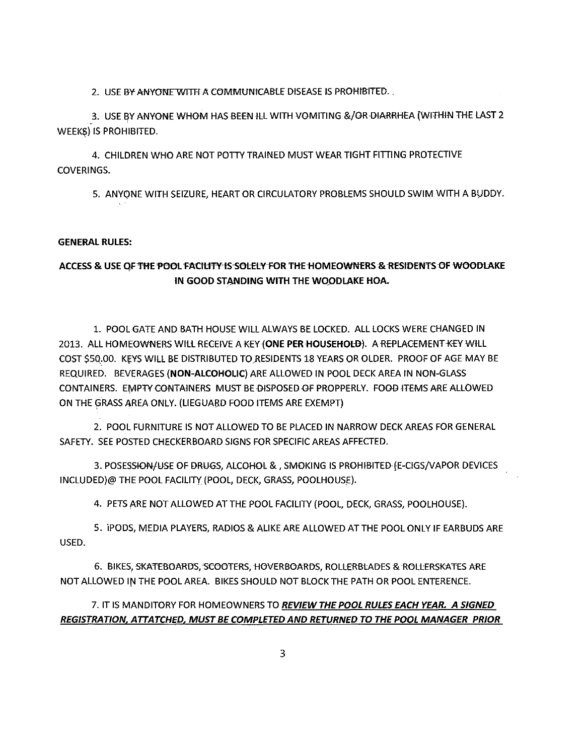2. USE BY ANYONE WITH A COMMUNICABLE DISEASE IS PROHIBITED.

3. USE BY ANYONE WHOM HAS BEEN ILL WITH VOMITING &/OR DIARRHEA (WITHIN THE LAST 2 WEEKS) IS PROHIBITED.

4. CHILDREN WHO ARE NOT POTTY TRAINED MUST WEAR TIGHT FITTING PROTECTIVE **COVERINGS.** 

5. ANYONE WITH SEIZURE, HEART OR CIRCULATORY PROBLEMS SHOULD SWIM WITH A BUDDY.

#### **GENERAL RULES:**

#### ACCESS & USE OF THE POOL FACILITY IS SOLELY FOR THE HOMEOWNERS & RESIDENTS OF WOODLAKE IN GOOD STANDING WITH THE WOODLAKE HOA.

1. POOL GATE AND BATH HOUSE WILL ALWAYS BE LOCKED. ALL LOCKS WERE CHANGED IN 2013. ALL HOMEOWNERS WILL RECEIVE A KEY (ONE PER HOUSEHOLD). A REPLACEMENT KEY WILL COST \$50.00. KEYS WILL BE DISTRIBUTED TO RESIDENTS 18 YEARS OR OLDER. PROOF OF AGE MAY BE REQUIRED. BEVERAGES (NON-ALCOHOLIC) ARE ALLOWED IN POOL DECK AREA IN NON-GLASS CONTAINERS. EMPTY CONTAINERS MUST BE DISPOSED OF PROPPERLY. FOOD ITEMS ARE ALLOWED ON THE GRASS AREA ONLY. (LIEGUARD FOOD ITEMS ARE EXEMPT)

2. POOL FURNITURE IS NOT ALLOWED TO BE PLACED IN NARROW DECK AREAS FOR GENERAL SAFETY. SEE POSTED CHECKERBOARD SIGNS FOR SPECIFIC AREAS AFFECTED.

3. POSESSION/USE OF DRUGS, ALCOHOL & , SMOKING IS PROHIBITED (E-CIGS/VAPOR DEVICES INCLUDED)@ THE POOL FACILITY (POOL, DECK, GRASS, POOLHOUSE).

4. PETS ARE NOT ALLOWED AT THE POOL FACILITY (POOL, DECK, GRASS, POOLHOUSE).

5. IPODS, MEDIA PLAYERS, RADIOS & ALIKE ARE ALLOWED AT THE POOL ONLY IF EARBUDS ARE USED.

6. BIKES, SKATEBOARDS, SCOOTERS, HOVERBOARDS, ROLLERBLADES & ROLLERSKATES ARE NOT ALLOWED IN THE POOL AREA. BIKES SHOULD NOT BLOCK THE PATH OR POOL ENTERENCE.

#### 7. IT IS MANDITORY FOR HOMEOWNERS TO REVIEW THE POOL RULES EACH YEAR. A SIGNED REGISTRATION, ATTATCHED, MUST BE COMPLETED AND RETURNED TO THE POOL MANAGER PRIOR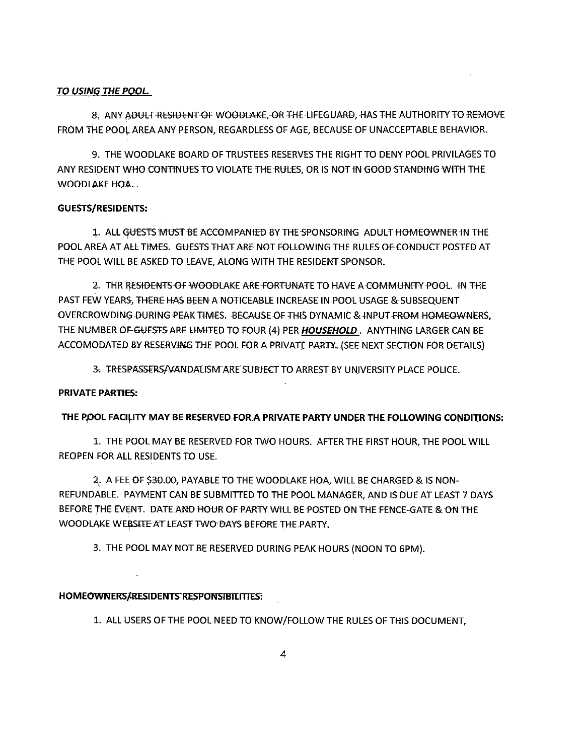#### TO USING THE POOL.

8. ANY ADULT RESIDENT OF WOODLAKE, OR THE LIFEGUARD, HAS THE AUTHORITY TO REMOVE FROM THE POOL AREA ANY PERSON, REGARDLESS OF AGE, BECAUSE OF UNACCEPTABLE BEHAVIOR.

9. THE WOODLAKE BOARD OF TRUSTEES RESERVES THE RIGHT TO DENY POOL PRIVILAGES TO ANY RESIDENT WHO CONTINUES TO VIOLATE THE RULES. OR IS NOT IN GOOD STANDING WITH THE WOODLAKE HOA.

#### **GUESTS/RESIDENTS:**

1. ALL GUESTS MUST BE ACCOMPANIED BY THE SPONSORING ADULT HOMEOWNER IN THE POOL AREA AT ALL TIMES. GUESTS THAT ARE NOT FOLLOWING THE RULES OF CONDUCT POSTED AT THE POOL WILL BE ASKED TO LEAVE, ALONG WITH THE RESIDENT SPONSOR.

2. THR RESHDENTS OF WOODLAKE ARE FORTUNATE TO HAVE A COMMUNITY POOL. IN THE PAST FEW YEARS, THERE HAS BEEN A NOTICEABLE INCREASE IN POOL USAGE & SUBSEQUENT OVERCROWDING DURING PEAK TIMES. BECAUSE OF THIS DYNAMIC & INPUT FROM HOMEOWNERS, THE NUMBER OF GUESTS ARE LIMITED TO FOUR (4) PER HOUSEHOLD. ANYTHING LARGER CAN BE ACCOMODATED BY RESERVING THE POOL FOR A PRIVATE PARTY. (SEE NEXT SECTION FOR DETAILS)

3. TRESPASSERS/VANDALISM ARE SUBJECT TO ARREST BY UNIVERSITY PLACE POLICE.

#### **PRIVATE PARTIES:**

#### THE POOL FACILITY MAY BE RESERVED FOR A PRIVATE PARTY UNDER THE FOLLOWING CONDITIONS:

1. THE POOL MAY BE RESERVED FOR TWO HOURS. AFTER THE FIRST HOUR, THE POOL WILL REOPEN FOR ALL RESIDENTS TO USE.

2. A FEE OF \$30.00, PAYABLE TO THE WOODLAKE HOA, WILL BE CHARGED & IS NON-REFUNDABLE. PAYMENT CAN BE SUBMITTED TO THE POOL MANAGER. AND IS DUE AT LEAST 7 DAYS BEFORE THE EVENT. DATE AND HOUR OF PARTY WILL BE POSTED ON THE FENCE-GATE & ON THE WOODLAKE WEBSITE AT LEAST TWO DAYS BEFORE THE PARTY.

3. THE POOL MAY NOT BE RESERVED DURING PEAK HOURS (NOON TO 6PM).

#### HOMEOWNERS/RESIDENTS RESPONSIBILITIES:

1. ALL USERS OF THE POOL NEED TO KNOW/FOLLOW THE RULES OF THIS DOCUMENT,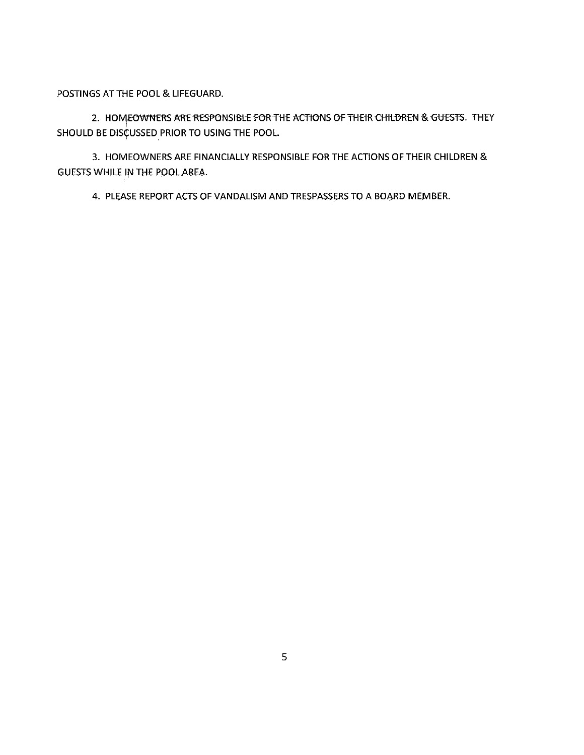POSTINGS AT THE POOL & LIFEGUARD.

2. HOMEOWNERS ARE RESPONSIBLE FOR THE ACTIONS OF THEIR CHILDREN & GUESTS. THEY SHOULD BE DISCUSSED PRIOR TO USING THE POOL.

3. HOMEOWNERS ARE FINANCIALLY RESPONSIBLE FOR THE ACTIONS OF THEIR CHILDREN & GUESTS WHILE IN THE POOL AREA.

4. PLEASE REPORT ACTS OF VANDALISM AND TRESPASSERS TO A BOARD MEMBER.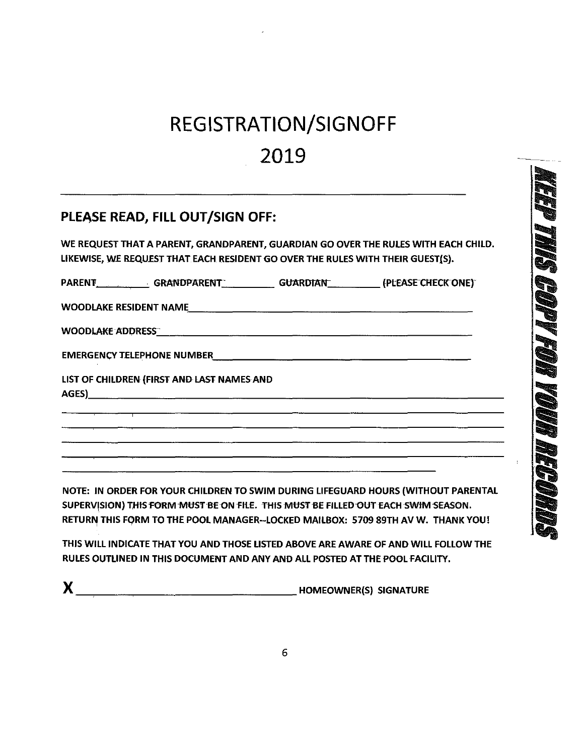# REGISTRATION/SIGNOFF 2019

### PLEASE READ, FILL OUT/SIGN OFF:

WE REQUEST THAT A PARENT, GRANDPARENT, GUARDIAN GO OVER THE RULES WITH EACH CHILD. LIKEWISE, WE REQUEST THAT EACH RESIDENT GO OVER THE RULES WITH THEIR GUEST(S).

<u> 1980 - Jan Barbara (h. 1980).</u><br>1900 - Johann Barbara, frantziar martxar (h. 1900).

| <b>PARENT</b> | <b>GRANDPARENT</b> | <b>GUARDIAN</b> | (PLEASE CHECK ONE) |
|---------------|--------------------|-----------------|--------------------|
|               |                    |                 |                    |
|               |                    |                 |                    |

WOODLAKE ADDRESS

LIST OF CHILDREN (FIRST AND LAST NAMES AND

AGES)\_\_\_\_

NOTE: IN ORDER FOR YOUR CHILDREN TO SWIM DURING LIFEGUARD HOURS (WITHOUT PARENTAL SUPERVISION) THIS FORM MUST BE ON FILE. THIS MUST BE FILLED OUT EACH SWIM SEASON. RETURN THIS FORM TO THE POOL MANAGER--LOCKED MAILBOX: 5709 89TH AV W. THANK YOU!

<u> 1980 - Jan Barnett, amerikansk politiker (d. 1980)</u>

THIS WILL INDICATE THAT YOU AND THOSE LISTED ABOVE ARE AWARE OF AND WILL FOLLOW THE RULES OUTLINED IN THIS DOCUMENT AND ANY AND ALL POSTED AT THE POOL FACILITY.